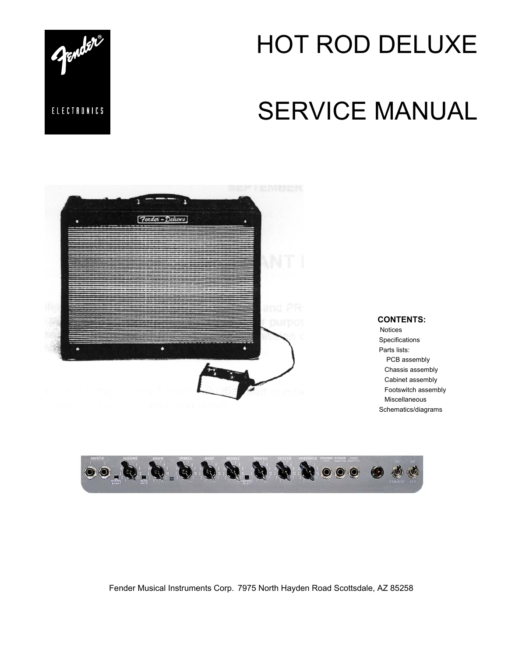

# SERVICE MANUAL



#### **CONTENTS:**

Notices **Specifications**  Parts lists: PCB assembly Chassis assembly Cabinet assembly Footswitch assembly Miscellaneous Schematics/diagrams



Fender Musical Instruments Corp. 7975 North Hayden Road Scottsdale, AZ 85258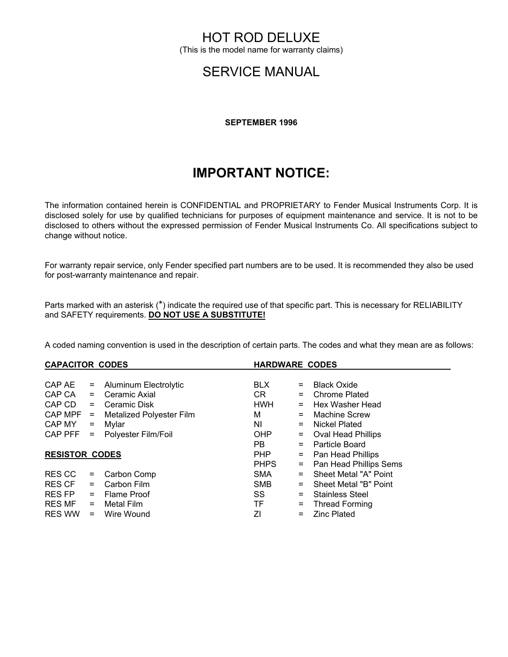(This is the model name for warranty claims)

## SERVICE MANUAL

#### **SEPTEMBER 1996**

# **IMPORTANT NOTICE:**

The information contained herein is CONFIDENTIAL and PROPRIETARY to Fender Musical Instruments Corp. It is disclosed solely for use by qualified technicians for purposes of equipment maintenance and service. It is not to be disclosed to others without the expressed permission of Fender Musical Instruments Co. All specifications subject to change without notice.

For warranty repair service, only Fender specified part numbers are to be used. It is recommended they also be used for post-warranty maintenance and repair.

Parts marked with an asterisk (\*) indicate the required use of that specific part. This is necessary for RELIABILITY and SAFETY requirements. **DO NOT USE A SUBSTITUTE!**

A coded naming convention is used in the description of certain parts. The codes and what they mean are as follows:

| <b>CAPACITOR CODES</b> |     |                                 | <b>HARDWARE CODES</b> |     |                           |
|------------------------|-----|---------------------------------|-----------------------|-----|---------------------------|
|                        |     |                                 |                       |     |                           |
| CAP AE                 | $=$ | Aluminum Electrolytic           | <b>BLX</b>            | $=$ | <b>Black Oxide</b>        |
| CAP CA                 | $=$ | Ceramic Axial                   | CR.                   | $=$ | Chrome Plated             |
| CAP CD                 | $=$ | Ceramic Disk                    | <b>HWH</b>            |     | Hex Washer Head           |
| $CAPMPF =$             |     | <b>Metalized Polyester Film</b> | м                     | $=$ | Machine Screw             |
| CAP MY                 |     | $=$ Mylar                       | NI.                   | $=$ | Nickel Plated             |
| $CAP$ $PFF =$          |     | Polyester Film/Foil             | <b>OHP</b>            | $=$ | <b>Oval Head Phillips</b> |
|                        |     |                                 | PB.                   | $=$ | Particle Board            |
| <b>RESISTOR CODES</b>  |     |                                 | PHP                   | $=$ | Pan Head Phillips         |
|                        |     |                                 | <b>PHPS</b>           | $=$ | Pan Head Phillips Sems    |
| RES CC                 | $=$ | Carbon Comp                     | <b>SMA</b>            | $=$ | Sheet Metal "A" Point     |
| RES CF                 | $=$ | Carbon Film                     | <b>SMB</b>            |     | Sheet Metal "B" Point     |
| RES FP                 | $=$ | <b>Flame Proof</b>              | SS                    | $=$ | <b>Stainless Steel</b>    |
| RES MF                 | $=$ | Metal Film                      | TF.                   | $=$ | <b>Thread Forming</b>     |
| <b>RES WW</b>          | $=$ | Wire Wound                      | ΖI                    | $=$ | <b>Zinc Plated</b>        |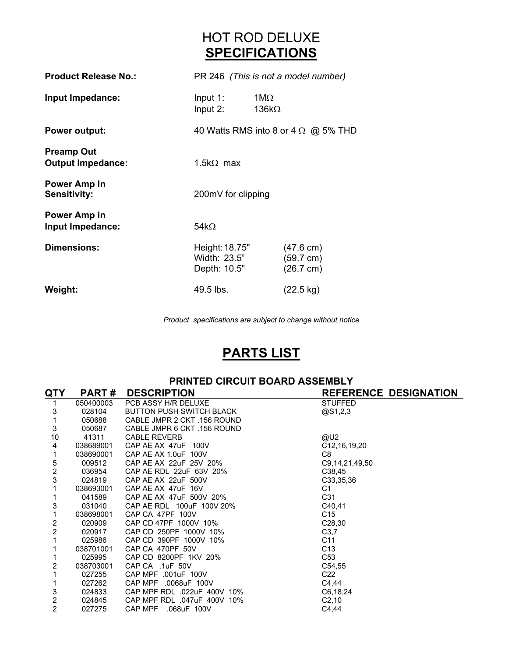# HOT ROD DELUXE **SPECIFICATIONS**

| <b>Product Release No.:</b>                   |                                                | PR 246 (This is not a model number)                               |
|-----------------------------------------------|------------------------------------------------|-------------------------------------------------------------------|
| Input Impedance:                              | Input $1$ :<br>Input 2:                        | 1ΜΩ<br>136k $\Omega$                                              |
| <b>Power output:</b>                          |                                                | 40 Watts RMS into 8 or 4 $\Omega$ @ 5% THD                        |
| <b>Preamp Out</b><br><b>Output Impedance:</b> | 1.5k $\Omega$ max                              |                                                                   |
| <b>Power Amp in</b><br><b>Sensitivity:</b>    | 200mV for clipping                             |                                                                   |
| Power Amp in<br>Input Impedance:              | 54k $\Omega$                                   |                                                                   |
| <b>Dimensions:</b>                            | Height: 18.75"<br>Width: 23.5"<br>Depth: 10.5" | $(47.6 \text{ cm})$<br>$(59.7 \text{ cm})$<br>$(26.7 \text{ cm})$ |
| Weight:                                       | 49.5 lbs.                                      | $(22.5 \text{ kg})$                                               |

*Product specifications are subject to change without notice*

# **PARTS LIST**

|                         | <b>PRINTED CIRCUIT BOARD ASSEMBLY</b> |                             |                              |  |  |
|-------------------------|---------------------------------------|-----------------------------|------------------------------|--|--|
| <b>QTY</b>              | <b>PART#</b>                          | <b>DESCRIPTION</b>          | <b>REFERENCE DESIGNATION</b> |  |  |
| 1                       | 050400003                             | PCB ASSY H/R DELUXE         | <b>STUFFED</b>               |  |  |
| 3                       | 028104                                | BUTTON PUSH SWITCH BLACK    | @S1,2,3                      |  |  |
|                         | 050688                                | CABLE JMPR 2 CKT .156 ROUND |                              |  |  |
| 3                       | 050687                                | CABLE JMPR 6 CKT .156 ROUND |                              |  |  |
| 10                      | 41311                                 | <b>CABLE REVERB</b>         | @U2                          |  |  |
| 4                       | 038689001                             | CAP AE AX 47uF 100V         | C12, 16, 19, 20              |  |  |
|                         | 038690001                             | CAP AE AX 1.0uF 100V        | C <sub>8</sub>               |  |  |
| 5                       | 009512                                | CAP AE AX 22uF 25V 20%      | C9, 14, 21, 49, 50           |  |  |
| $\overline{\mathbf{c}}$ | 036954                                | CAP AE RDL 22uF 63V 20%     | C38,45                       |  |  |
| 3                       | 024819                                | CAP AE AX 22uF 500V         | C33,35,36                    |  |  |
|                         | 038693001                             | CAP AE AX 47uF 16V          | C1                           |  |  |
|                         | 041589                                | CAP AE AX 47uF 500V 20%     | C31                          |  |  |
| 3                       | 031040                                | CAP AE RDL 100uF 100V 20%   | C40,41                       |  |  |
| 1                       | 038698001                             | CAP CA 47PF 100V            | C <sub>15</sub>              |  |  |
| 2                       | 020909                                | CAP CD 47PF 1000V 10%       | C <sub>28</sub> ,30          |  |  |
| $\overline{2}$          | 020917                                | CAP CD 250PF 1000V 10%      | C3,7                         |  |  |
| 1                       | 025986                                | CAP CD 390PF 1000V 10%      | C <sub>11</sub>              |  |  |
|                         | 038701001                             | CAP CA 470PF 50V            | C <sub>13</sub>              |  |  |
|                         | 025995                                | CAP CD 8200PF 1KV 20%       | C <sub>53</sub>              |  |  |
| 2                       | 038703001                             | CAP CA .1uF 50V             | C54,55                       |  |  |
|                         | 027255                                | CAP MPF .001uF 100V         | C <sub>22</sub>              |  |  |
|                         | 027262                                | CAP MPF .0068uF 100V        | C4,44                        |  |  |
| 3                       | 024833                                | CAP MPF RDL .022uF 400V 10% | C6,18,24                     |  |  |
| $\overline{\mathbf{c}}$ | 024845                                | CAP MPF RDL .047uF 400V 10% | C <sub>2,10</sub>            |  |  |
| $\overline{2}$          | 027275                                | CAP MPF .068uF 100V         | C4,44                        |  |  |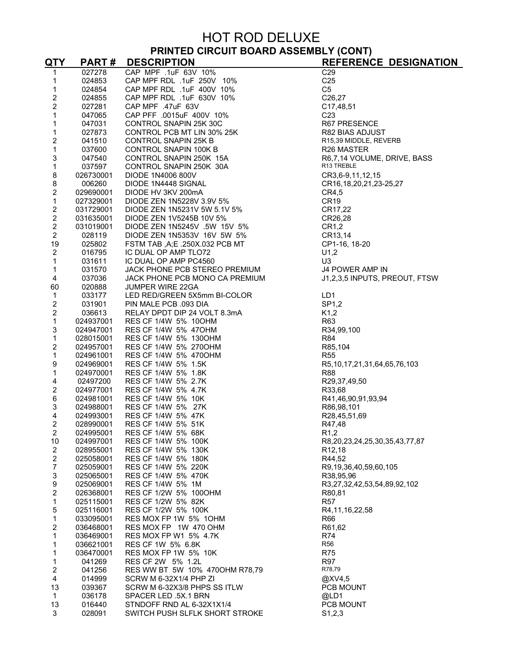#### **PRINTED CIRCUIT BOARD ASSEMBLY (CONT)**

| <u>QTY</u>                                 | <b>PART#</b>           | <b>DESCRIPTION</b>                                                                                                                                                                                                                              | <b>REFERENCE DESIGNATION</b>                      |
|--------------------------------------------|------------------------|-------------------------------------------------------------------------------------------------------------------------------------------------------------------------------------------------------------------------------------------------|---------------------------------------------------|
| 1                                          | 027278                 | CAP MPF .1uF 63V 10%                                                                                                                                                                                                                            | C <sub>29</sub>                                   |
| 1                                          | 024853                 | CAP MPF RDL .1uF 250V 10%                                                                                                                                                                                                                       | C <sub>25</sub>                                   |
| 1                                          | 024854                 | CAP MPF RDL .1uF 400V 10%                                                                                                                                                                                                                       | C <sub>5</sub>                                    |
| $\overline{c}$                             | 024855                 | CAP MPF RDL .1uF 630V 10%                                                                                                                                                                                                                       | C26,27                                            |
| $\overline{c}$                             | 027281                 |                                                                                                                                                                                                                                                 | C17,48,51                                         |
| 1                                          | 047065                 |                                                                                                                                                                                                                                                 | C <sub>23</sub>                                   |
| 1                                          | 047031                 |                                                                                                                                                                                                                                                 | R67 PRESENCE                                      |
| 1                                          | 027873                 |                                                                                                                                                                                                                                                 | R82 BIAS ADJUST                                   |
| $\overline{c}$                             | 041510                 |                                                                                                                                                                                                                                                 | R15,39 MIDDLE, REVERB                             |
| 1                                          | 037600                 |                                                                                                                                                                                                                                                 | R <sub>26</sub> MASTER                            |
| 3<br>$\mathbf 1$                           | 047540                 |                                                                                                                                                                                                                                                 | R6,7,14 VOLUME, DRIVE, BASS<br>R13 TREBLE         |
| 8                                          | 037597<br>026730001    |                                                                                                                                                                                                                                                 | CR3,6-9,11,12,15                                  |
| 8                                          | 006260                 |                                                                                                                                                                                                                                                 | CR16, 18, 20, 21, 23-25, 27                       |
| $\overline{\mathbf{c}}$                    | 029690001              |                                                                                                                                                                                                                                                 | CR4,5                                             |
| $\mathbf{1}$                               | 027329001              | CAP MPF RDL .1uF 630V 10%<br>CAP MPF .47uF 63V<br>CAP MPF .47uF 63V<br>CONTROL SNAPIN 25K 30C<br>CONTROL SNAPIN 25K 30C<br>CONTROL SNAPIN 100K B<br>CONTROL SNAPIN 100K B<br>CONTROL SNAPIN 100K B<br>CONTROL SNAPIN 250K 15A<br>CONTROL SNAPIN | CR <sub>19</sub>                                  |
|                                            | 031729001              |                                                                                                                                                                                                                                                 | CR17,22                                           |
| $\begin{array}{c} 2 \\ 2 \\ 2 \end{array}$ | 031635001              |                                                                                                                                                                                                                                                 | CR26,28                                           |
|                                            | 031019001              |                                                                                                                                                                                                                                                 | CR1,2                                             |
| $\overline{2}$                             | 028119                 |                                                                                                                                                                                                                                                 | CR13,14                                           |
| 19                                         | 025802                 |                                                                                                                                                                                                                                                 | CP1-16, 18-20                                     |
| $\overline{2}$                             | 016795                 |                                                                                                                                                                                                                                                 | U1,2                                              |
| $\mathbf 1$                                | 031611                 | IC DUAL OP AMP PC4560                                                                                                                                                                                                                           | U3                                                |
| 1                                          | 031570                 | JACK PHONE PCB STEREO PREMIUM                                                                                                                                                                                                                   | J4 POWER AMP IN                                   |
| 4                                          | 037036                 | JACK PHONE PCB MONO CA PREMIUM                                                                                                                                                                                                                  | J1,2,3,5 INPUTS, PREOUT, FTSW                     |
| 60                                         | 020888                 | <b>JUMPER WIRE 22GA</b>                                                                                                                                                                                                                         |                                                   |
| $\mathbf{1}$                               | 033177                 | LED RED/GREEN 5X5mm BI-COLOR                                                                                                                                                                                                                    | LD1                                               |
| $\overline{c}$                             | 031901                 | PIN MALE PCB .093 DIA                                                                                                                                                                                                                           | SP1,2                                             |
| $\overline{c}$                             | 036613                 | RELAY DPDT DIP 24 VOLT 8.3mA                                                                                                                                                                                                                    | K1,2                                              |
| $\mathbf{1}$                               | 024937001              | RES CF 1/4W 5% 10OHM                                                                                                                                                                                                                            | R63                                               |
| 3                                          | 024947001              | RES CF 1/4W 5% 47OHM                                                                                                                                                                                                                            | R34,99,100                                        |
| $\mathbf 1$                                | 028015001              | RES CF 1/4W 5% 1300HM                                                                                                                                                                                                                           | <b>R84</b>                                        |
| $\overline{\mathbf{c}}$                    | 024957001              | RES CF 1/4W 5% 2700HM                                                                                                                                                                                                                           | R85,104                                           |
| $\mathbf 1$                                | 024961001              | RES CF 1/4W 5% 4700HM<br>RES CF 1/4W 5% 1.5K                                                                                                                                                                                                    | <b>R55</b>                                        |
| 9<br>1                                     | 024969001<br>024970001 | RES CF 1/4W 5% 1.8K                                                                                                                                                                                                                             | R5, 10, 17, 21, 31, 64, 65, 76, 103<br><b>R88</b> |
| $\overline{\mathbf{4}}$                    | 02497200               | RES CF 1/4W 5% 2.7K                                                                                                                                                                                                                             | R29,37,49,50                                      |
| $\overline{\mathbf{c}}$                    | 024977001              | RES CF 1/4W 5% 4.7K                                                                                                                                                                                                                             | R33,68                                            |
| 6                                          | 024981001              | RES CF 1/4W 5% 10K                                                                                                                                                                                                                              | R41,46,90,91,93,94                                |
| 3                                          | 024988001              | RES CF 1/4W 5% 27K                                                                                                                                                                                                                              | R86,98,101                                        |
| 4                                          | 024993001              | RES CF 1/4W 5% 47K                                                                                                                                                                                                                              | R28,45,51,69                                      |
| $\overline{2}$                             | 028990001              | RES CF 1/4W 5% 51K                                                                                                                                                                                                                              | R47,48                                            |
| $\overline{c}$                             | 024995001              | RES CF 1/4W 5% 68K                                                                                                                                                                                                                              | R <sub>1</sub> ,2                                 |
| 10                                         | 024997001              | RES CF 1/4W 5% 100K                                                                                                                                                                                                                             | R8,20,23,24,25,30,35,43,77,87                     |
| $\overline{2}$                             | 028955001              | RES CF 1/4W 5% 130K                                                                                                                                                                                                                             | R <sub>12</sub> ,18                               |
| $\overline{c}$                             | 025058001              | RES CF 1/4W 5% 180K                                                                                                                                                                                                                             | R44,52                                            |
| $\overline{7}$                             | 025059001              | RES CF 1/4W 5% 220K                                                                                                                                                                                                                             | R9,19,36,40,59,60,105                             |
| 3                                          | 025065001              | RES CF 1/4W 5% 470K                                                                                                                                                                                                                             | R38,95,96                                         |
| 9                                          | 025069001              | RES CF 1/4W 5% 1M                                                                                                                                                                                                                               | R3,27,32,42,53,54,89,92,102                       |
| $\overline{c}$                             | 026368001              | RES CF 1/2W 5% 1000HM                                                                                                                                                                                                                           | R80,81                                            |
| $\mathbf{1}$                               | 025115001              | RES CF 1/2W 5% 82K                                                                                                                                                                                                                              | <b>R57</b>                                        |
| 5                                          | 025116001              | RES CF 1/2W 5% 100K                                                                                                                                                                                                                             | R4,11,16,22,58                                    |
| $\mathbf 1$                                | 033095001              | RES MOX FP 1W 5% 1OHM                                                                                                                                                                                                                           | R66                                               |
| $\overline{\mathbf{c}}$<br>1               | 036468001              | RES MOX FP 1W 470 OHM<br>RES MOX FP W1 5% 4.7K                                                                                                                                                                                                  | R61,62<br>R74                                     |
| 1                                          | 036469001<br>036621001 | RES CF 1W 5% 6.8K                                                                                                                                                                                                                               | <b>R56</b>                                        |
| 1                                          | 036470001              | RES MOX FP 1W 5% 10K                                                                                                                                                                                                                            | <b>R75</b>                                        |
| 1                                          | 041269                 | RES CF 2W 5% 1.2L                                                                                                                                                                                                                               | <b>R97</b>                                        |
| $\overline{c}$                             | 041256                 | RES WW BT 5W 10% 4700HM R78,79                                                                                                                                                                                                                  | R78,79                                            |
| 4                                          | 014999                 | SCRW M 6-32X1/4 PHP ZI                                                                                                                                                                                                                          | @XV4,5                                            |
| 13                                         | 039367                 | SCRW M 6-32X3/8 PHPS SS ITLW                                                                                                                                                                                                                    | PCB MOUNT                                         |
| 1                                          | 036178                 | SPACER LED .5X.1 BRN                                                                                                                                                                                                                            | @LD1                                              |
| 13                                         | 016440                 | STNDOFF RND AL 6-32X1X1/4                                                                                                                                                                                                                       | PCB MOUNT                                         |
| 3                                          | 028091                 | SWITCH PUSH SLFLK SHORT STROKE                                                                                                                                                                                                                  | S1,2,3                                            |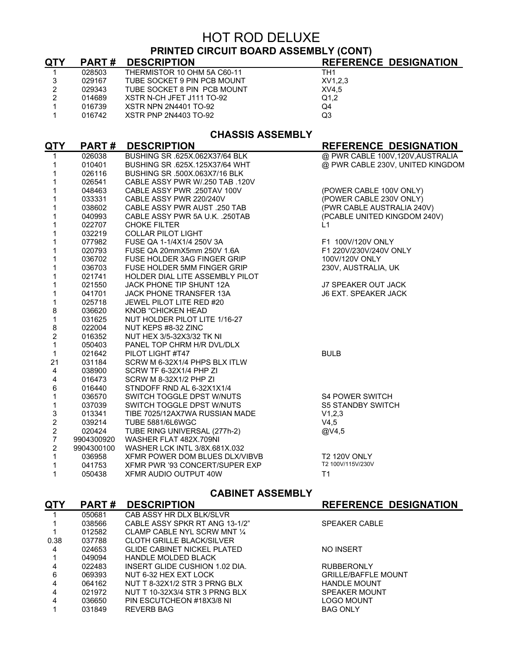## **PRINTED CIRCUIT BOARD ASSEMBLY (CONT)**

| <u>QTY</u>                | PART#        | <b>DESCRIPTION</b>              | REFERENCE DESIGNATION            |
|---------------------------|--------------|---------------------------------|----------------------------------|
| 1                         | 028503       | THERMISTOR 10 OHM 5A C60-11     | TH <sub>1</sub>                  |
| $\ensuremath{\mathsf{3}}$ | 029167       | TUBE SOCKET 9 PIN PCB MOUNT     | XV1,2,3                          |
| $\overline{2}$            | 029343       | TUBE SOCKET 8 PIN PCB MOUNT     | XV4,5                            |
| $\overline{2}$            | 014689       | XSTR N-CH JFET J111 TO-92       | Q1.2                             |
| $\mathbf{1}$              | 016739       | <b>XSTR NPN 2N4401 TO-92</b>    | Q4                               |
| $\mathbf{1}$              | 016742       | <b>XSTR PNP 2N4403 TO-92</b>    | Q3                               |
|                           |              | <b>CHASSIS ASSEMBLY</b>         |                                  |
| <u>QTY</u>                | <b>PART#</b> | <b>DESCRIPTION</b>              | REFERENCE DESIGNATION            |
| 1                         | 026038       | BUSHING SR .625X.062X37/64 BLK  | @ PWR CABLE 100V,120V,AUSTRALIA  |
| 1                         | 010401       | BUSHING SR .625X.125X37/64 WHT  | @ PWR CABLE 230V, UNITED KINGDOM |
| 1                         | 026116       | BUSHING SR .500X.063X7/16 BLK   |                                  |
| $\mathbf{1}$              | 026541       | CABLE ASSY PWR W/.250 TAB .120V |                                  |
| $\mathbf{1}$              | 048463       | CABLE ASSY PWR .250TAV 100V     | (POWER CABLE 100V ONLY)          |
| $\mathbf{1}$              | 033331       | CABLE ASSY PWR 220/240V         | (POWER CABLE 230V ONLY)          |
| $\mathbf{1}$              | 038602       | CABLE ASSY PWR AUST .250 TAB    | (PWR CABLE AUSTRALIA 240V)       |
| 1                         | 040993       | CABLE ASSY PWR 5A U.K. .250TAB  | (PCABLE UNITED KINGDOM 240V)     |
| $\mathbf{1}$              | 022707       | <b>CHOKE FILTER</b>             | L1                               |
| 1                         | 032219       | <b>COLLAR PILOT LIGHT</b>       |                                  |
| $\mathbf{1}$              | 077982       | FUSE QA 1-1/4X1/4 250V 3A       | F1 100V/120V ONLY                |
| 1                         | 020793       | FUSE QA 20mmX5mm 250V 1.6A      | F1 220V/230V/240V ONLY           |
| $\mathbf{1}$              | 036702       | FUSE HOLDER 3AG FINGER GRIP     | 100V/120V ONLY                   |
| $\mathbf 1$               | 036703       | FUSE HOLDER 5MM FINGER GRIP     | 230V, AUSTRALIA, UK              |
| $\mathbf{1}$              | 021741       | HOLDER DIAL LITE ASSEMBLY PILOT |                                  |
| 1                         | 021550       | JACK PHONE TIP SHUNT 12A        | J7 SPEAKER OUT JACK              |
| $\mathbf 1$               | 041701       | <b>JACK PHONE TRANSFER 13A</b>  | <b>J6 EXT. SPEAKER JACK</b>      |
| $\mathbf{1}$              | 025718       | JEWEL PILOT LITE RED #20        |                                  |
| 8                         | 036620       | <b>KNOB "CHICKEN HEAD</b>       |                                  |
| $\mathbf 1$               | 031625       | NUT HOLDER PILOT LITE 1/16-27   |                                  |
| 8                         | 022004       | NUT KEPS #8-32 ZINC             |                                  |
| $\overline{2}$            | 016352       | NUT HEX 3/5-32X3/32 TK NI       |                                  |
| $\mathbf 1$               | 050403       | PANEL TOP CHRM H/R DVL/DLX      |                                  |
| 1                         | 021642       | PILOT LIGHT #T47                | <b>BULB</b>                      |
| 21                        | 031184       | SCRW M 6-32X1/4 PHPS BLX ITLW   |                                  |
| 4                         | 038900       | SCRW TF 6-32X1/4 PHP ZI         |                                  |
| 4                         | 016473       | SCRW M 8-32X1/2 PHP ZI          |                                  |
| 6                         | 016440       | STNDOFF RND AL 6-32X1X1/4       |                                  |
| 1                         | 036570       | SWITCH TOGGLE DPST W/NUTS       | <b>S4 POWER SWITCH</b>           |
| $\mathbf{1}$              | 037039       | SWITCH TOGGLE DPST W/NUTS       | <b>S5 STANDBY SWITCH</b>         |
| $\mathsf 3$               | 013341       | TIBE 7025/12AX7WA RUSSIAN MADE  | V1,2,3                           |
| $\boldsymbol{2}$          | 039214       | <b>TUBE 5881/6L6WGC</b>         | V4,5                             |
| $\mathbf 2$               | 020424       | TUBE RING UNIVERSAL (277h-2)    | @V4,5                            |
| $\overline{\mathcal{I}}$  | 9904300920   | WASHER FLAT 482X.709NI          |                                  |
| $\overline{2}$            | 9904300100   | WASHER LCK INTL 3/8X.681X.032   |                                  |
| 1                         | 036958       | XFMR POWER DOM BLUES DLX/VIBVB  | <b>T2 120V ONLY</b>              |
| 1                         | 041753       | XFMR PWR '93 CONCERT/SUPER EXP  | T2 100V/115V/230V                |
| 1                         | 050438       | XFMR AUDIO OUTPUT 40W           | T1                               |
|                           |              |                                 |                                  |

## **CABINET ASSEMBLY**

| <b>PART#</b> | <b>DESCRIPTION</b>                 | <b>REFERENCE DESIGNATION</b> |
|--------------|------------------------------------|------------------------------|
| 050681       | CAB ASSY HR DLX BLK/SLVR           |                              |
| 038566       | CABLE ASSY SPKR RT ANG 13-1/2"     | <b>SPEAKER CABLE</b>         |
| 012582       | CLAMP CABLE NYL SCRW MNT 1/4       |                              |
| 037788       | <b>CLOTH GRILLE BLACK/SILVER</b>   |                              |
| 024653       | <b>GLIDE CABINET NICKEL PLATED</b> | NO INSERT                    |
| 049094       | <b>HANDLE MOLDED BLACK</b>         |                              |
| 022483       | INSERT GLIDE CUSHION 1.02 DIA.     | <b>RUBBERONLY</b>            |
| 069393       | NUT 6-32 HEX EXT LOCK              | <b>GRILLE/BAFFLE MOUNT</b>   |
| 064162       | NUT T 8-32X1/2 STR 3 PRNG BLX      | <b>HANDLE MOUNT</b>          |
| 021972       | NUT T 10-32X3/4 STR 3 PRNG BLX     | <b>SPEAKER MOUNT</b>         |
| 036650       | PIN ESCUTCHEON #18X3/8 NI          | LOGO MOUNT                   |
| 031849       | <b>REVERB BAG</b>                  | <b>BAG ONLY</b>              |
|              |                                    |                              |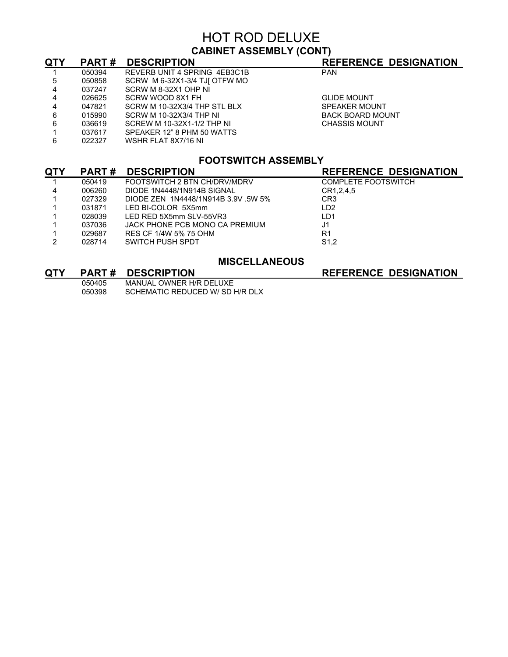## HOT ROD DELUXE **CABINET ASSEMBLY (CONT)**

| <b>QTY</b> | <b>PART#</b> | <b>DESCRIPTION</b>            | <b>REFERENCE DESIGNATION</b> |
|------------|--------------|-------------------------------|------------------------------|
|            | 050394       | REVERB UNIT 4 SPRING 4EB3C1B  | <b>PAN</b>                   |
| 5          | 050858       | SCRW M 6-32X1-3/4 TJJ OTFW MO |                              |
| 4          | 037247       | SCRW M 8-32X1 OHP NI          |                              |
| 4          | 026625       | SCRW WOOD 8X1 FH              | <b>GLIDE MOUNT</b>           |
| 4          | 047821       | SCRW M 10-32X3/4 THP STL BLX  | SPEAKER MOUNT                |
| 6          | 015990       | SCRW M 10-32X3/4 THP NI       | <b>BACK BOARD MOUNT</b>      |
| 6          | 036619       | SCREW M 10-32X1-1/2 THP NI    | <b>CHASSIS MOUNT</b>         |
|            | 037617       | SPEAKER 12" 8 PHM 50 WATTS    |                              |
| 6          | 022327       | WSHR FLAT 8X7/16 NI           |                              |
|            |              |                               |                              |

## **FOOTSWITCH ASSEMBLY**

| <u>QTY</u> | <b>PART#</b> | <b>DESCRIPTION</b>                  | <b>REFERENCE DESIGNATION</b> |
|------------|--------------|-------------------------------------|------------------------------|
|            | 050419       | FOOTSWITCH 2 BTN CH/DRV/MDRV        | <b>COMPLETE FOOTSWITCH</b>   |
| 4          | 006260       | DIODE 1N4448/1N914B SIGNAL          | CR1, 2, 4, 5                 |
|            | 027329       | DIODE ZEN 1N4448/1N914B 3.9V .5W 5% | CR <sub>3</sub>              |
|            | 031871       | LED BI-COLOR 5X5mm                  | LD <sub>2</sub>              |
|            | 028039       | LED RED 5X5mm SLV-55VR3             | 1 <sub>D1</sub>              |
|            | 037036       | JACK PHONE PCB MONO CA PREMIUM      | J <sub>1</sub>               |
|            | 029687       | RES CF 1/4W 5% 75 OHM               | R1                           |
| 2          | 028714       | SWITCH PUSH SPDT                    | S <sub>1</sub> ,2            |

### **MISCELLANEOUS**

| QIY |        | <b>PART# DESCRIPIION</b> |
|-----|--------|--------------------------|
|     | 050405 | MANUAL OWNER H/R DELUXE  |

**REFERENCE DESIGNATION** 050398 SCHEMATIC REDUCED W/ SD H/R DLX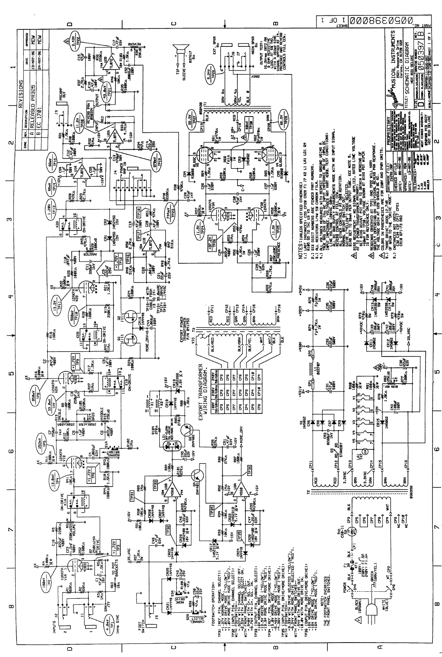